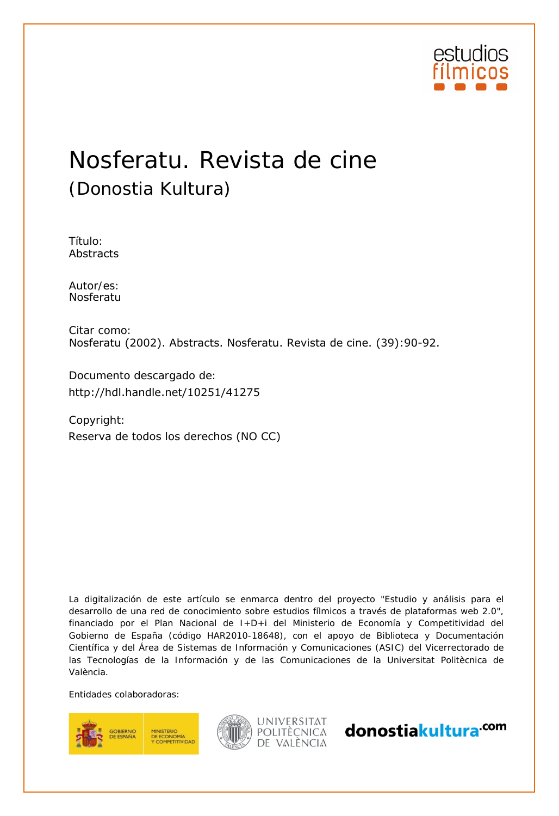

# Nosferatu. Revista de cine (Donostia Kultura)

Título: Abstracts

Autor/es:<br>Nosferatu

Citar como: Nosferatu (2002). Abstracts. Nosferatu. Revista de cine. (39):90-92.

Documento descargado de:

Copyright: http://hdl.handle.net/10251/41275<br>Copyright:<br>Reserva de todos los derechos (NO CC)

La digitalización de este artículo se enmarca dentro del proyecto "Estudio y análisis para el desarrollo de una red de conocimiento sobre estudios fílmicos a través de plataformas web 2.0", financiado por el Plan Nacional de I+D+i del Ministerio de Economía y Competitividad del Gobierno de España (código HAR2010-18648), con el apoyo de Biblioteca y Documentación Científica y del Área de Sistemas de Información y Comunicaciones (ASIC) del Vicerrectorado de las Tecnologías de la Información y de las Comunicaciones de la Universitat Politècnica de València.

Entidades colaboradoras:





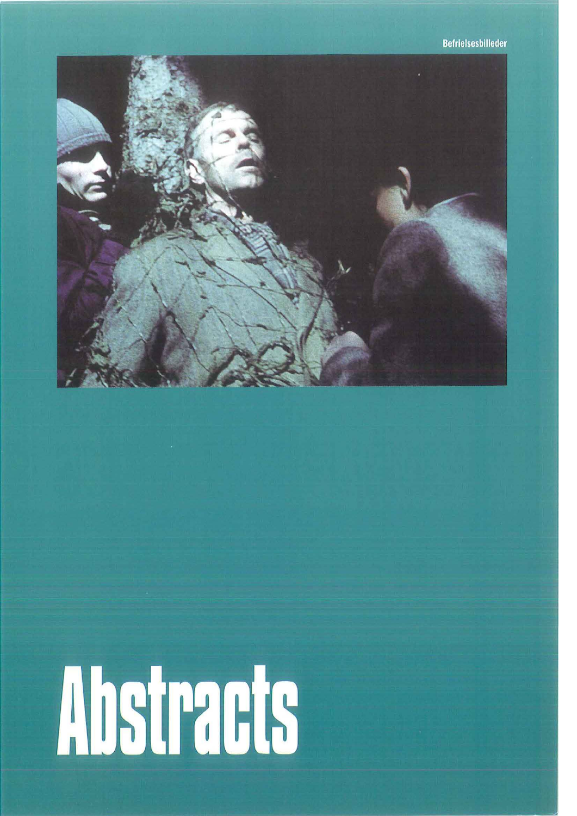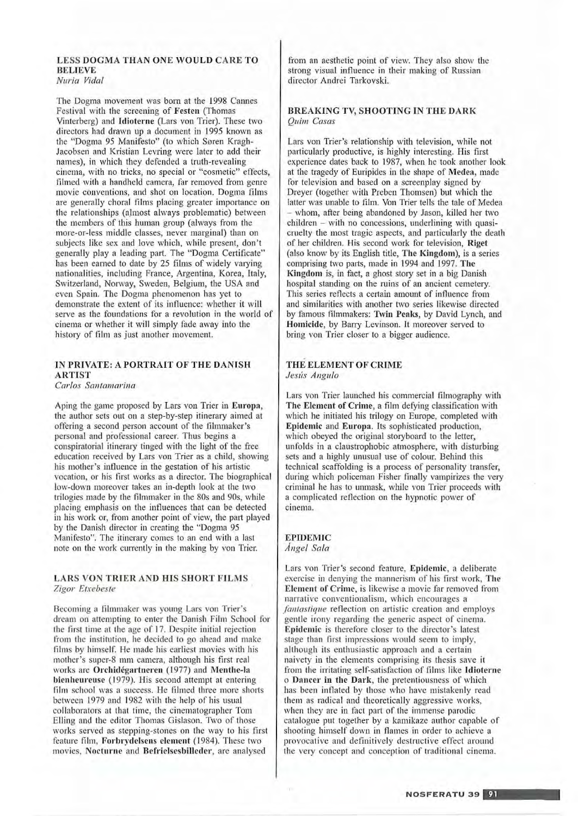#### LESS DOGMA THAN ONE WOULD CARETO **BELIEVE** *Nuria Vida/*

The Dogma movement was born at the 1998 Cannes Festival with the screening of Festen (Thomas Vinterberg) and Idioterne (Lars von Trier). These two directors had drawn up a document in 1995 known as the "Dogma 95 Manifesto" (to which Soren Kragh-Jacobsen and Kristian Levring were later to add their names), in which they defended a truth-revealing cinema, with no tricks, no special or "cosmetic" e ffects, filmed with a handheld camera, far removed from genre movie conventions, and shot on location. Dogma films are generally choral films placing greater importance on the relationships (almost always problematic) between the members of this human group (always from the more-or-less middle classes, never marginal) than on subjects like sex and love which, while present, don't generally play a leading part. The "Dogma Certificate" has been earned to date by 25 films of widely varying nationalities, including France, Argentina, Korea, ltaly, Switzerland, Norway, Sweden, Belgium, the USA and even Spain. The Dogma phenomenon has yet lo demonstrate the extent of its influence: whether it will serve as the foundations for a revolution in the world of cinema or whether it will simply fade away into the history of film as just another movement.

# IN PRIVATE: A PORTRAIT OF THE DANISH ARTIST

*Carlos San/amarina* 

Aping the game proposed by Lars von Trier in Europa, the author sets out on a step-by-step itinerary aimed al offering a second person account of the fihnmaker's personal and professional career. Thus begins a conspiratorial itinerary tinged with the light of the free education received by Lars von Trier as a child, showing his mother's intluence in the gestation of his artistic vocation, or his first works as a director. The biographical low-down moreover takes an in-depth look at the two trilogies made by the filmmaker in the 80s and 90s, while placing emphasis on the influences that can be detected in his work or, from another point of view, the part played by the Danish director in creating the "Dogma 95 Manifesto". The itinerary comes to an end with a last note on the work currently in the making by von Trier.

## LARS VON TRIER AND HIS SHORT FILMS *Zigor Etxebeste*

Becoming a filmmakcr was young Lars von Trier's dream on attempting to enter the Danish Film School for the first time at the age of 17. Despite initial rejection from thc institution, he decided lo go ahead and makc films by himself. He made his earliest movics with his mother's super-8 mm camera, although his first real works are Orchidégartneren (1977) and Menthe-la bienheureuse (1979). His second attempt at entering film school was a succcss. He filmed three more shorts bctwecn 1979 and 1982 with the help of his usual collaborators at that time, the cinematographer Tom Elling and the editor Thomas Gislason. Two of those works served ns stepping-stones on the way lo his first feature film, Forbrydelsens element (1984). These two movies, Nocturne and Befrielsesbilleder, are analysed

from an aesthetic point of view. They also show the strong visual influence in their making of Russian director Andrei Tarkovski.

# BREAKING TV, SHOOTING IN THE DARK *Quim Casas*

Lars von Trier's relationship with television, while not particularly productive, is highly interesting. His first experience dates back *to* \987, when he took another look at the tragedy of Euripides in the shape of Medea, made for television and based on a screenplay signed by Dreyer (together with Prebeu Thomsen) but which the latter was unable to film. Von Trier tells the tale of Medea whom, after being abandoned by Jason, killed her two  $children - with no concessions, underlining with quasi$ cruelty the most tragic aspects, and particularly the death of her children. His second work for television, Riget (also know by its English title, The Kingdom), is a series comprising two parts, made in \994 and 1997. The Kingdom is, in fact, a ghost story set in a big Danish hospital standing on the mins of an ancient cemetery. This series reflects a certain amount of influence from and similarities with another two series likewise directed by famous filmmakers: Twin Peaks, by David Lynch, and Homicide, by Barry Levinson. lt moreover served to bring von Trier closer to a bigger audiencc.

# THE ELEMENT OF CRIME *Jesús Angula*

Lars von Trier launched his commercial filmography with The Element of Crime, a film defying classification with which he initiated bis trilogy on Europe, completed wilh Epidemic and Europa. Its sophisticated production, which obeyed the original storyboard to the letter, unfolds in a claustrophobic atmosphere, with disturbing sets and a highly unusual use of colour. Behind this techn ical scaffolding is a process of personality transfer, during which policeman Fisher finally vampirizes the very criminal he has to unmask, while von Trier proceeds with a complicated reflection on the hypnotic power of cinema.

#### EPIDEMIC *Angel Sala*

Lars von Trier's second feature, Epidemic, a deliberate exercise in denying the mannerism of his first work, The Element of Crime, is likewise a movie far removed from narrative conventionalism, which encourages a *fantastique* reflection on artistic creation and employs gentle irony regarding the generic aspect of cinema. Epidemic is therefore closer to the director's latest stage than first impressions would seem to imply, although its enthusiastic approach and a certain naivcty in the elements comprising its thcsis save it from the irritating self-satisfaction of films like ldioterne o Dancer in the Dark, the pretentiousness of which has been intlated by those who have mistakenly read them as radical and theoretically aggressive works, when they are in fact part of the immense parodie catalogue put together by a kamikaze author capable of shooting himself down in flames in order to achieve a provocative and definitively destructive effect around the very concept and conception of traditional cinema.